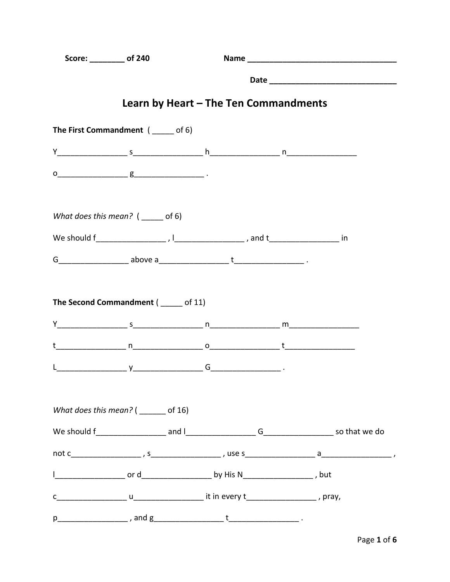| Score: ________ of 240 |                                                                                                                                                                                                                                                                                                                                                                                                              |  |  |  |  |  |
|------------------------|--------------------------------------------------------------------------------------------------------------------------------------------------------------------------------------------------------------------------------------------------------------------------------------------------------------------------------------------------------------------------------------------------------------|--|--|--|--|--|
|                        |                                                                                                                                                                                                                                                                                                                                                                                                              |  |  |  |  |  |
|                        | Learn by Heart – The Ten Commandments                                                                                                                                                                                                                                                                                                                                                                        |  |  |  |  |  |
|                        | The First Commandment (____ of 6)                                                                                                                                                                                                                                                                                                                                                                            |  |  |  |  |  |
|                        |                                                                                                                                                                                                                                                                                                                                                                                                              |  |  |  |  |  |
|                        | $\underbrace{\mathsf{g}}\hspace{1.5cm}\hspace{1.5cm}\hspace{1.5cm}\hspace{1.5cm}\hspace{1.5cm}\hspace{1.5cm}\hspace{1.5cm}\hspace{1.5cm}\hspace{1.5cm}\hspace{1.5cm}\hspace{1.5cm}\hspace{1.5cm}\hspace{1.5cm}\hspace{1.5cm}\hspace{1.5cm}\hspace{1.5cm}\hspace{1.5cm}\hspace{1.5cm}\hspace{1.5cm}\hspace{1.5cm}\hspace{1.5cm}\hspace{1.5cm}\hspace{1.5cm}\hspace{1.5cm}\hspace{1.5cm}\hspace{1.5cm}\hspace$ |  |  |  |  |  |
|                        | What does this mean? $($ _____ of 6)                                                                                                                                                                                                                                                                                                                                                                         |  |  |  |  |  |
|                        |                                                                                                                                                                                                                                                                                                                                                                                                              |  |  |  |  |  |
|                        |                                                                                                                                                                                                                                                                                                                                                                                                              |  |  |  |  |  |
|                        |                                                                                                                                                                                                                                                                                                                                                                                                              |  |  |  |  |  |
|                        |                                                                                                                                                                                                                                                                                                                                                                                                              |  |  |  |  |  |
|                        |                                                                                                                                                                                                                                                                                                                                                                                                              |  |  |  |  |  |
|                        | What does this mean? $($ _______ of 16)                                                                                                                                                                                                                                                                                                                                                                      |  |  |  |  |  |
|                        |                                                                                                                                                                                                                                                                                                                                                                                                              |  |  |  |  |  |
|                        |                                                                                                                                                                                                                                                                                                                                                                                                              |  |  |  |  |  |
|                        |                                                                                                                                                                                                                                                                                                                                                                                                              |  |  |  |  |  |
|                        |                                                                                                                                                                                                                                                                                                                                                                                                              |  |  |  |  |  |
|                        |                                                                                                                                                                                                                                                                                                                                                                                                              |  |  |  |  |  |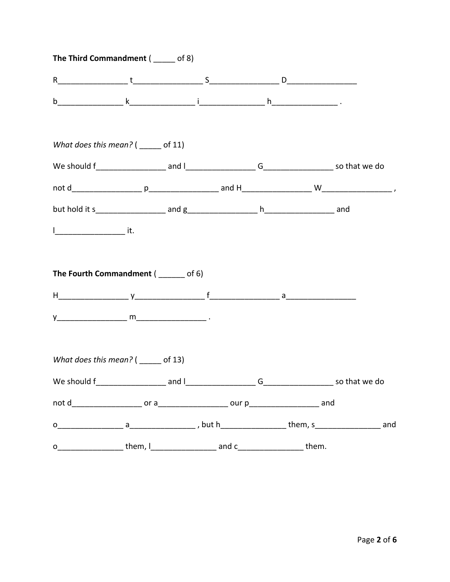|              | The Third Commandment (____ of 8)      |             |               |  |
|--------------|----------------------------------------|-------------|---------------|--|
|              |                                        |             |               |  |
|              |                                        |             |               |  |
|              | What does this mean? $($ ______ of 11) |             |               |  |
|              |                                        |             |               |  |
|              |                                        |             |               |  |
|              |                                        |             |               |  |
|              |                                        |             |               |  |
|              | The Fourth Commandment (______ of 6)   |             |               |  |
|              |                                        |             |               |  |
|              |                                        |             |               |  |
|              | What does this mean? $($ ______ of 13) |             |               |  |
|              |                                        | G           | so that we do |  |
|              |                                        |             |               |  |
|              |                                        |             |               |  |
| $\mathsf{o}$ | them, $\lfloor$                        | and c them. |               |  |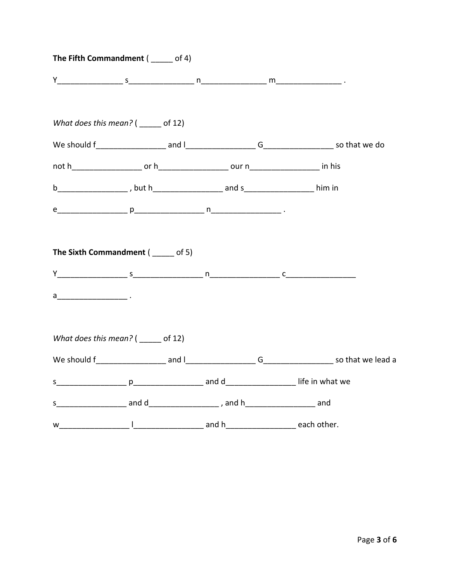| The Fifth Commandment ( _____ of 4)    |  |  |  |
|----------------------------------------|--|--|--|
|                                        |  |  |  |
| What does this mean? $($ ______ of 12) |  |  |  |
|                                        |  |  |  |
|                                        |  |  |  |
|                                        |  |  |  |
|                                        |  |  |  |
|                                        |  |  |  |
| The Sixth Commandment (____ of 5)      |  |  |  |
|                                        |  |  |  |
|                                        |  |  |  |
|                                        |  |  |  |
| What does this mean? ( _____ of 12)    |  |  |  |
|                                        |  |  |  |
|                                        |  |  |  |
|                                        |  |  |  |
| w and h and h each other.              |  |  |  |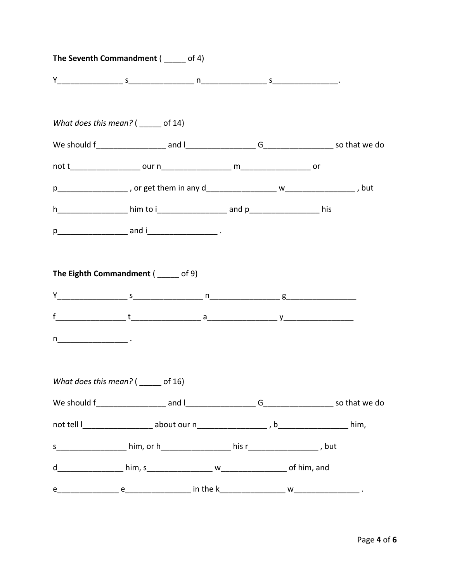|              | The Seventh Commandment (____ of 4)                                                                                                                                                                                                                                                                                                                           |  |  |
|--------------|---------------------------------------------------------------------------------------------------------------------------------------------------------------------------------------------------------------------------------------------------------------------------------------------------------------------------------------------------------------|--|--|
|              |                                                                                                                                                                                                                                                                                                                                                               |  |  |
|              | What does this mean? $($ ______ of 14)                                                                                                                                                                                                                                                                                                                        |  |  |
|              |                                                                                                                                                                                                                                                                                                                                                               |  |  |
|              |                                                                                                                                                                                                                                                                                                                                                               |  |  |
|              |                                                                                                                                                                                                                                                                                                                                                               |  |  |
|              | h______________________ him to i______________________ and p_______________________ his                                                                                                                                                                                                                                                                       |  |  |
|              |                                                                                                                                                                                                                                                                                                                                                               |  |  |
|              | The Eighth Commandment ( ____ of 9)<br>$f$ $\frac{1}{2}$ $\frac{1}{2}$ $\frac{1}{2}$ $\frac{1}{2}$ $\frac{1}{2}$ $\frac{1}{2}$ $\frac{1}{2}$ $\frac{1}{2}$ $\frac{1}{2}$ $\frac{1}{2}$ $\frac{1}{2}$ $\frac{1}{2}$ $\frac{1}{2}$ $\frac{1}{2}$ $\frac{1}{2}$ $\frac{1}{2}$ $\frac{1}{2}$ $\frac{1}{2}$ $\frac{1}{2}$ $\frac{1}{2}$ $\frac{1}{2}$ $\frac{1}{2$ |  |  |
| $n$ $\qquad$ |                                                                                                                                                                                                                                                                                                                                                               |  |  |
|              | What does this mean? $($ ______ of 16)                                                                                                                                                                                                                                                                                                                        |  |  |
|              |                                                                                                                                                                                                                                                                                                                                                               |  |  |
|              |                                                                                                                                                                                                                                                                                                                                                               |  |  |
|              |                                                                                                                                                                                                                                                                                                                                                               |  |  |
|              |                                                                                                                                                                                                                                                                                                                                                               |  |  |
|              |                                                                                                                                                                                                                                                                                                                                                               |  |  |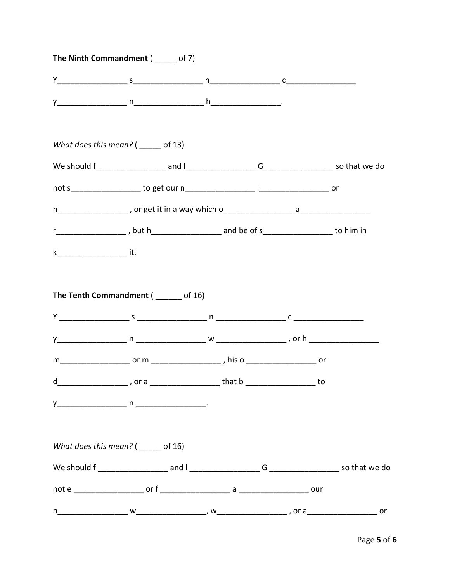|         | The Ninth Commandment ( ___ of 7)                                                                                                                                                                                                                                         |  |    |
|---------|---------------------------------------------------------------------------------------------------------------------------------------------------------------------------------------------------------------------------------------------------------------------------|--|----|
|         | $Y$ constant $S$ constant $\frac{1}{2}$ constant $\frac{1}{2}$ constant $\frac{1}{2}$ constant $\frac{1}{2}$ constant $\frac{1}{2}$ constant $\frac{1}{2}$ constant $\frac{1}{2}$ constant $\frac{1}{2}$ constant $\frac{1}{2}$ constant $\frac{1}{2}$ constant $\frac{1$ |  |    |
|         |                                                                                                                                                                                                                                                                           |  |    |
|         | What does this mean? $($ ______ of 13)                                                                                                                                                                                                                                    |  |    |
|         |                                                                                                                                                                                                                                                                           |  |    |
|         |                                                                                                                                                                                                                                                                           |  |    |
|         |                                                                                                                                                                                                                                                                           |  |    |
|         | r______________________, but h________________________ and be of s______________________ to him in                                                                                                                                                                        |  |    |
| $k$ it. |                                                                                                                                                                                                                                                                           |  |    |
|         |                                                                                                                                                                                                                                                                           |  |    |
|         |                                                                                                                                                                                                                                                                           |  |    |
|         |                                                                                                                                                                                                                                                                           |  |    |
|         | d________________________, or a ______________________that b ________________________ to                                                                                                                                                                                  |  |    |
|         |                                                                                                                                                                                                                                                                           |  |    |
|         |                                                                                                                                                                                                                                                                           |  |    |
|         | What does this mean? $($ ______ of 16)                                                                                                                                                                                                                                    |  |    |
|         |                                                                                                                                                                                                                                                                           |  |    |
|         |                                                                                                                                                                                                                                                                           |  |    |
|         |                                                                                                                                                                                                                                                                           |  | or |